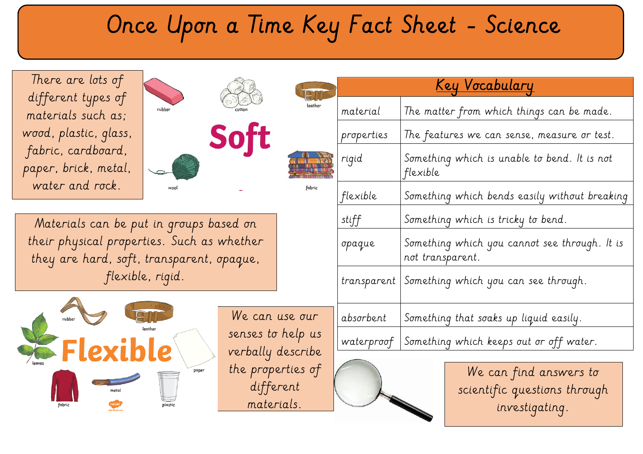## Once Upon a Time Key Fact Sheet - Science

fabric

 different types of There are lots of materials such as; wood, plastic, glass, fabric, cardboard, paper, brick, metal, water and rock.



Materials can be put in groups based on their physical properties. Such as whether they are hard, soft, transparent, opaque, flexible, rigid.



We can use our senses to help us verbally describe the properties of different materials.

|             | <u>Key Vocabulary</u>                                             |
|-------------|-------------------------------------------------------------------|
| material    | The matter from which things can be made.                         |
| properties  | The features we can sense, measure or test.                       |
| rigid       | Something which is unable to bend. It is not<br>flexible          |
| flexible    | Something which bends easily without breaking                     |
| stiff       | Something which is tricky to bend.                                |
| opaque      | Something which you cannot see through. It is<br>not transparent. |
| transparent | Something which you can see through.                              |
| absorbent   | Something that soaks up liquid easily.                            |
| waterproof  | Something which keeps out or off water.                           |
|             | We can find answers to<br>scientific questions through            |

investigating.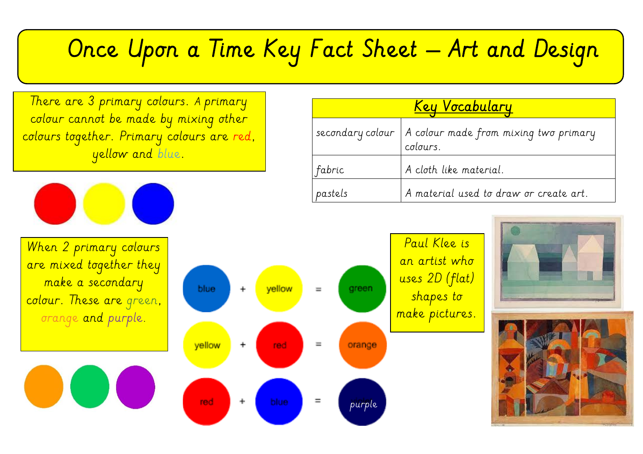## Once Upon a Time Key Fact Sheet – Art and Design

There are 3 primary colours. A primary colour cannot be made by mixing other colours together. Primary colours are red, yellow and blue.



When 2 primary colours are mixed together they make a secondary colour. These are green, orange and purple.



## Key Vocabulary secondary colour  $|A \rangle$  colour made from mixing two primary colours.  $fabric$   $A cloth like material.$  $p$ astels  $A$  material used to draw or create art.